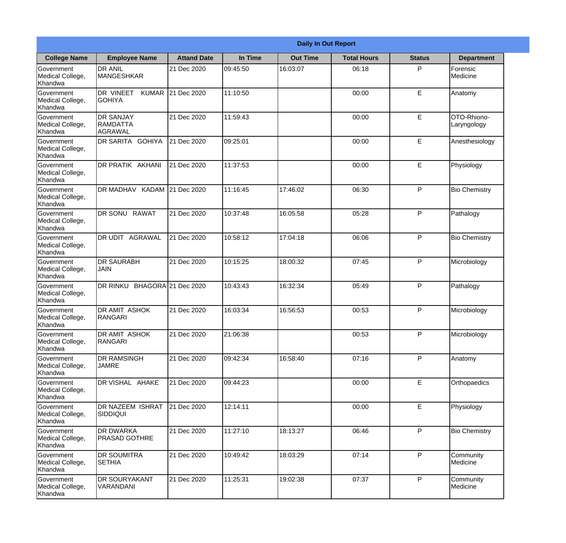|                                                  |                                                |                     |          | <b>Daily In Out Report</b> |                    |               |                            |
|--------------------------------------------------|------------------------------------------------|---------------------|----------|----------------------------|--------------------|---------------|----------------------------|
| <b>College Name</b>                              | <b>Employee Name</b>                           | <b>Attand Date</b>  | In Time  | <b>Out Time</b>            | <b>Total Hours</b> | <b>Status</b> | <b>Department</b>          |
| Government<br>Medical College,<br>Khandwa        | <b>DR ANIL</b><br><b>MANGESHKAR</b>            | 21 Dec 2020         | 09:45:50 | 16:03:07                   | 06:18              | P             | Forensic<br>Medicine       |
| Government<br>Medical College,<br>Khandwa        | DR VINEET<br><b>KUMAR</b><br><b>GOHIYA</b>     | 21 Dec 2020         | 11:10:50 |                            | 00:00              | E             | Anatomy                    |
| Government<br>Medical College,<br>Khandwa        | <b>DR SANJAY</b><br><b>RAMDATTA</b><br>AGRAWAL | 21 Dec 2020         | 11:59:43 |                            | 00:00              | E             | OTO-Rhiono-<br>Laryngology |
| Government<br>Medical College,<br>Khandwa        | DR SARITA GOHIYA                               | 21 Dec 2020         | 09:25:01 |                            | 00:00              | E             | Anesthesiology             |
| <b>Government</b><br>Medical College,<br>Khandwa | <b>DR PRATIK AKHANI</b>                        | 21 Dec 2020         | 11:37:53 |                            | 00:00              | E             | Physiology                 |
| Government<br>Medical College,<br>Khandwa        | DR MADHAV KADAM 21 Dec 2020                    |                     | 11:16:45 | 17:46:02                   | 06:30              | P             | <b>Bio Chemistry</b>       |
| <b>Government</b><br>Medical College,<br>Khandwa | DR SONU RAWAT                                  | 21 Dec 2020         | 10:37:48 | 16:05:58                   | 05:28              | P             | Pathalogy                  |
| Government<br>Medical College,<br>Khandwa        | DR UDIT AGRAWAL                                | 21 Dec 2020         | 10:58:12 | 17:04:18                   | 06:06              | P             | <b>Bio Chemistry</b>       |
| Government<br>Medical College,<br>Khandwa        | <b>DR SAURABH</b><br><b>JAIN</b>               | 21 Dec 2020         | 10:15:25 | 18:00:32                   | 07:45              | P             | Microbiology               |
| Government<br>Medical College,<br>Khandwa        | DR RINKU                                       | BHAGORA 21 Dec 2020 | 10:43:43 | 16:32:34                   | 05:49              | P             | Pathalogy                  |
| Government<br>Medical College,<br>Khandwa        | <b>DR AMIT ASHOK</b><br><b>RANGARI</b>         | 21 Dec 2020         | 16:03:34 | 16:56:53                   | 00:53              | P             | Microbiology               |
| Government<br>Medical College,<br>Khandwa        | <b>DR AMIT ASHOK</b><br>RANGARI                | 21 Dec 2020         | 21:06:38 |                            | 00:53              | P             | Microbiology               |
| Government<br>Medical College,<br>Khandwa        | <b>DR RAMSINGH</b><br><b>JAMRE</b>             | 21 Dec 2020         | 09:42:34 | 16:58:40                   | 07:16              | P             | Anatomy                    |
| Government<br>Medical College,<br>Khandwa        | DR VISHAL AHAKE                                | 21 Dec 2020         | 09:44:23 |                            | 00:00              | $\mathsf E$   | Orthopaedics               |
| <b>Government</b><br>Medical College,<br>Khandwa | <b>DR NAZEEM ISHRAT</b><br>SIDDIQUI            | 21 Dec 2020         | 12:14:11 |                            | 00:00              | E             | Physiology                 |
| Government<br>Medical College,<br>Khandwa        | <b>DR DWARKA</b><br><b>PRASAD GOTHRE</b>       | 21 Dec 2020         | 11:27:10 | 18:13:27                   | 06:46              | P             | <b>Bio Chemistry</b>       |
| Government<br>Medical College,<br>Khandwa        | <b>DR SOUMITRA</b><br><b>SETHIA</b>            | 21 Dec 2020         | 10:49:42 | 18:03:29                   | 07:14              | P             | Community<br>Medicine      |
| Government<br>Medical College,<br>Khandwa        | <b>DR SOURYAKANT</b><br>VARANDANI              | 21 Dec 2020         | 11:25:31 | 19:02:38                   | 07:37              | P             | Community<br>Medicine      |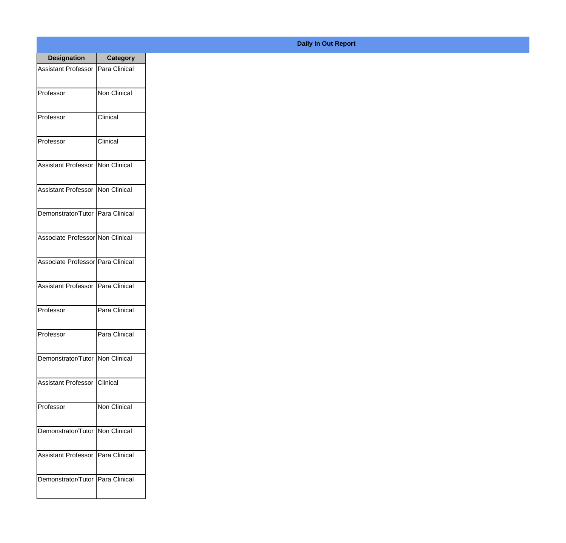| <b>Designation</b>                  | <b>Category</b>        |
|-------------------------------------|------------------------|
| Assistant Professor   Para Clinical |                        |
| Professor                           | Non Clinical           |
| Professor                           | Clinical               |
| Professor                           | Clinical               |
| <b>Assistant Professor</b>          | Non Clinical           |
| Assistant Professor   Non Clinical  |                        |
| Demonstrator/Tutor   Para Clinical  |                        |
| Associate Professor Non Clinical    |                        |
| Associate Professor   Para Clinical |                        |
| <b>Assistant Professor</b>          | Para Clinical          |
| Professor                           | Para Clinical          |
| Professor                           | Para Clinical          |
| Demonstrator/Tutor   Non Clinical   |                        |
| <b>Assistant Professor</b>          | <i><b>Clinical</b></i> |
| Professor                           | <b>Non Clinical</b>    |
| Demonstrator/Tutor   Non Clinical   |                        |
| <b>Assistant Professor</b>          | Para Clinical          |
| Demonstrator/Tutor   Para Clinical  |                        |

## **Daily In Out Report**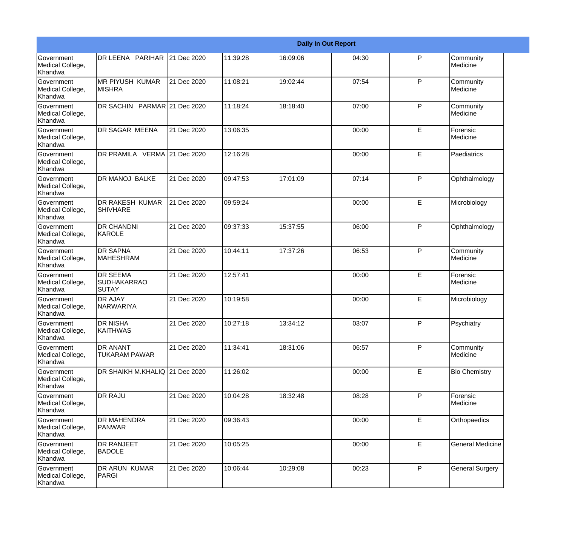|                                                         |                                                       |             |          |          | <b>Daily In Out Report</b> |              |                         |
|---------------------------------------------------------|-------------------------------------------------------|-------------|----------|----------|----------------------------|--------------|-------------------------|
| Government<br>Medical College,<br>Khandwa               | DR LEENA PARIHAR                                      | 21 Dec 2020 | 11:39:28 | 16:09:06 | 04:30                      | P            | Community<br>Medicine   |
| Government<br>Medical College,<br>Khandwa               | <b>MR PIYUSH KUMAR</b><br>IMISHRA                     | 21 Dec 2020 | 11:08:21 | 19:02:44 | 07:54                      | P            | Community<br>Medicine   |
| <b>Government</b><br>Medical College,<br>Khandwa        | DR SACHIN PARMAR 21 Dec 2020                          |             | 11:18:24 | 18:18:40 | 07:00                      | P            | Community<br>Medicine   |
| <b>Government</b><br>Medical College,<br>Khandwa        | DR SAGAR MEENA                                        | 21 Dec 2020 | 13:06:35 |          | 00:00                      | E            | Forensic<br>Medicine    |
| Government<br>Medical College,<br>Khandwa               | DR PRAMILA VERMA 21 Dec 2020                          |             | 12:16:28 |          | 00:00                      | E            | Paediatrics             |
| Government<br>Medical College,<br>Khandwa               | <b>DR MANOJ BALKE</b>                                 | 21 Dec 2020 | 09:47:53 | 17:01:09 | 07:14                      | P            | Ophthalmology           |
| Government<br>Medical College,<br>Khandwa               | <b>DR RAKESH KUMAR</b><br><b>SHIVHARE</b>             | 21 Dec 2020 | 09:59:24 |          | 00:00                      | E            | Microbiology            |
| Government<br>Medical College,<br>Khandwa               | <b>DR CHANDNI</b><br>KAROLE                           | 21 Dec 2020 | 09:37:33 | 15:37:55 | 06:00                      | $\mathsf{P}$ | Ophthalmology           |
| Government<br>Medical College,<br>Khandwa               | <b>DR SAPNA</b><br><b>MAHESHRAM</b>                   | 21 Dec 2020 | 10:44:11 | 17:37:26 | 06:53                      | P            | Community<br>Medicine   |
| <b>Government</b><br>Medical College,<br>Khandwa        | <b>DR SEEMA</b><br><b>SUDHAKARRAO</b><br><b>SUTAY</b> | 21 Dec 2020 | 12:57:41 |          | 00:00                      | E            | Forensic<br>Medicine    |
| <b>Government</b><br>Medical College,<br><b>Khandwa</b> | <b>DR AJAY</b><br>NARWARIYA                           | 21 Dec 2020 | 10:19:58 |          | 00:00                      | E            | Microbiology            |
| Government<br>Medical College,<br>Khandwa               | <b>DR NISHA</b><br><b>KAITHWAS</b>                    | 21 Dec 2020 | 10:27:18 | 13:34:12 | 03:07                      | P            | Psychiatry              |
| Government<br>Medical College,<br>Khandwa               | <b>DR ANANT</b><br><b>TUKARAM PAWAR</b>               | 21 Dec 2020 | 11:34:41 | 18:31:06 | 06:57                      | P            | Community<br>Medicine   |
| <b>Government</b><br>Medical College,<br>Khandwa        | DR SHAIKH M.KHALIQ 21 Dec 2020                        |             | 11:26:02 |          | 00:00                      | E            | <b>Bio Chemistry</b>    |
| Government<br>Medical College,<br>Khandwa               | <b>DR RAJU</b>                                        | 21 Dec 2020 | 10:04:28 | 18:32:48 | 08:28                      | P            | Forensic<br>Medicine    |
| Government<br>Medical College,<br>Khandwa               | <b>DR MAHENDRA</b><br>PANWAR                          | 21 Dec 2020 | 09:36:43 |          | 00:00                      | E            | Orthopaedics            |
| Government<br>Medical College,<br>Khandwa               | <b>DR RANJEET</b><br><b>BADOLE</b>                    | 21 Dec 2020 | 10:05:25 |          | 00:00                      | $\mathsf E$  | <b>General Medicine</b> |
| Government<br>Medical College,<br>Khandwa               | <b>DR ARUN KUMAR</b><br>PARGI                         | 21 Dec 2020 | 10:06:44 | 10:29:08 | 00:23                      | $\mathsf{P}$ | <b>General Surgery</b>  |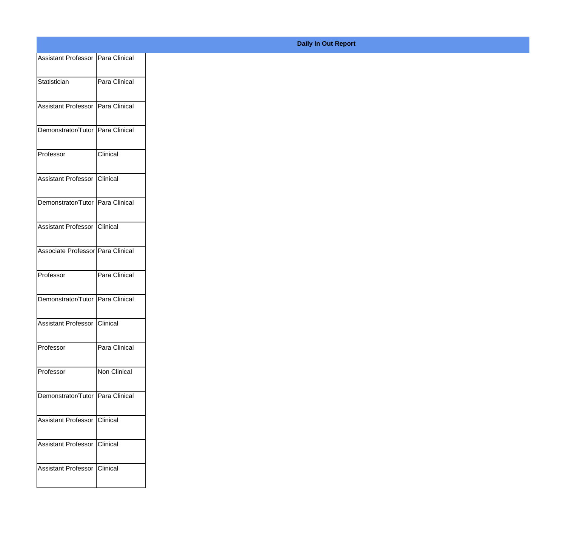| Assistant Professor Para Clinical |               |
|-----------------------------------|---------------|
| Statistician                      | Para Clinical |
|                                   |               |
| Assistant Professor Para Clinical |               |
| Demonstrator/Tutor Para Clinical  |               |
|                                   |               |
| Professor                         | Clinical      |
| Assistant Professor Clinical      |               |
| Demonstrator/Tutor Para Clinical  |               |
|                                   |               |
| Assistant Professor Clinical      |               |
| Associate Professor Para Clinical |               |
| Professor                         | Para Clinical |
|                                   |               |
| Demonstrator/Tutor Para Clinical  |               |
| Assistant Professor Clinical      |               |
|                                   |               |
| Professor                         | Para Clinical |
| Professor                         | Non Clinical  |
| Demonstrator/Tutor Para Clinical  |               |
|                                   |               |
| Assistant Professor Clinical      |               |
| Assistant Professor Clinical      |               |
| Assistant Professor Clinical      |               |
|                                   |               |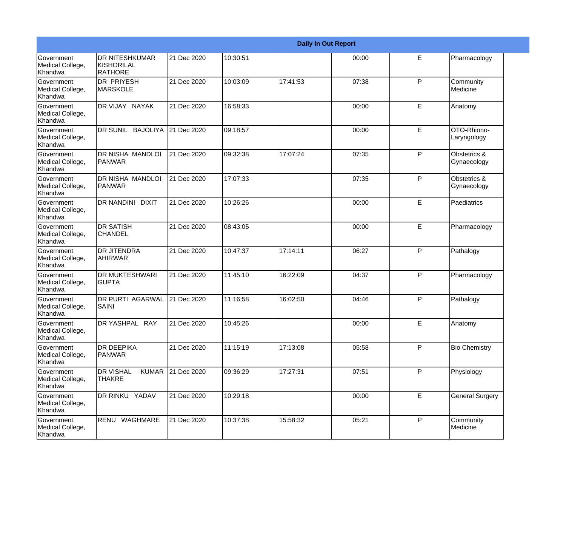|                                                  |                                                   |             |          |          | <b>Daily In Out Report</b> |   |                             |
|--------------------------------------------------|---------------------------------------------------|-------------|----------|----------|----------------------------|---|-----------------------------|
| <b>Government</b><br>Medical College,<br>Khandwa | <b>DR NITESHKUMAR</b><br>KISHORILAL<br>RATHORE    | 21 Dec 2020 | 10:30:51 |          | 00:00                      | E | Pharmacology                |
| Government<br>Medical College,<br>Khandwa        | <b>DR PRIYESH</b><br>MARSKOLE                     | 21 Dec 2020 | 10:03:09 | 17:41:53 | 07:38                      | P | Community<br>Medicine       |
| <b>Government</b><br>Medical College,<br>Khandwa | DR VIJAY NAYAK                                    | 21 Dec 2020 | 16:58:33 |          | 00:00                      | E | Anatomy                     |
| <b>Government</b><br>Medical College,<br>Khandwa | DR SUNIL BAJOLIYA                                 | 21 Dec 2020 | 09:18:57 |          | 00:00                      | E | OTO-Rhiono-<br>Laryngology  |
| Government<br>Medical College,<br>Khandwa        | DR NISHA MANDLOI<br>PANWAR                        | 21 Dec 2020 | 09:32:38 | 17:07:24 | 07:35                      | P | Obstetrics &<br>Gynaecology |
| Government<br>Medical College,<br>Khandwa        | <b>DR NISHA MANDLOI</b><br>PANWAR                 | 21 Dec 2020 | 17:07:33 |          | 07:35                      | P | Obstetrics &<br>Gynaecology |
| <b>Government</b><br>Medical College,<br>Khandwa | DR NANDINI DIXIT                                  | 21 Dec 2020 | 10:26:26 |          | 00:00                      | E | Paediatrics                 |
| <b>Government</b><br>Medical College,<br>Khandwa | <b>DR SATISH</b><br><b>CHANDEL</b>                | 21 Dec 2020 | 08:43:05 |          | 00:00                      | E | Pharmacology                |
| Government<br>Medical College,<br>Khandwa        | <b>DR JITENDRA</b><br><b>AHIRWAR</b>              | 21 Dec 2020 | 10:47:37 | 17:14:11 | 06:27                      | P | Pathalogy                   |
| Government<br>Medical College,<br>Khandwa        | <b>DR MUKTESHWARI</b><br><b>GUPTA</b>             | 21 Dec 2020 | 11:45:10 | 16:22:09 | 04:37                      | P | Pharmacology                |
| <b>Government</b><br>Medical College,<br>Khandwa | <b>DR PURTI AGARWAL</b><br>SAINI                  | 21 Dec 2020 | 11:16:58 | 16:02:50 | 04:46                      | P | Pathalogy                   |
| Government<br>Medical College,<br>Khandwa        | DR YASHPAL RAY                                    | 21 Dec 2020 | 10:45:26 |          | 00:00                      | E | Anatomy                     |
| Government<br>Medical College,<br>Khandwa        | <b>DR DEEPIKA</b><br>PANWAR                       | 21 Dec 2020 | 11:15:19 | 17:13:08 | 05:58                      | P | <b>Bio Chemistry</b>        |
| Government<br>Medical College,<br>Khandwa        | <b>DR VISHAL</b><br><b>KUMAR</b><br><b>THAKRE</b> | 21 Dec 2020 | 09:36:29 | 17:27:31 | 07:51                      | P | Physiology                  |
| Government<br>Medical College,<br>Khandwa        | DR RINKU YADAV                                    | 21 Dec 2020 | 10:29:18 |          | 00:00                      | E | <b>General Surgery</b>      |
| Government<br>Medical College,<br>Khandwa        | RENU WAGHMARE                                     | 21 Dec 2020 | 10:37:38 | 15:58:32 | 05:21                      | P | Community<br>Medicine       |